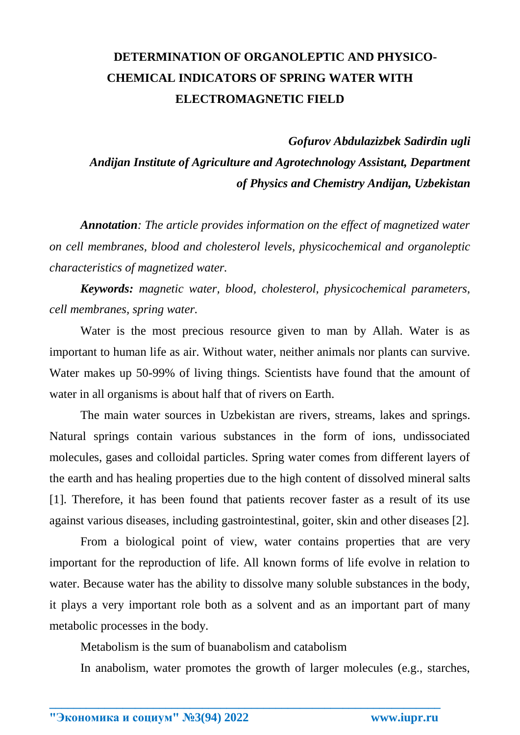## **DETERMINATION OF ORGANOLEPTIC AND PHYSICO-CHEMICAL INDICATORS OF SPRING WATER WITH ELECTROMAGNETIC FIELD**

 *Gofurov Abdulazizbek Sadirdin ugli Andijan Institute of Agriculture and Agrotechnology Assistant, Department of Physics and Chemistry Andijan, Uzbekistan*

*Annotation: The article provides information on the effect of magnetized water on cell membranes, blood and cholesterol levels, physicochemical and organoleptic characteristics of magnetized water.*

*Keywords: magnetic water, blood, cholesterol, physicochemical parameters, cell membranes, spring water.*

Water is the most precious resource given to man by Allah. Water is as important to human life as air. Without water, neither animals nor plants can survive. Water makes up 50-99% of living things. Scientists have found that the amount of water in all organisms is about half that of rivers on Earth.

The main water sources in Uzbekistan are rivers, streams, lakes and springs. Natural springs contain various substances in the form of ions, undissociated molecules, gases and colloidal particles. Spring water comes from different layers of the earth and has healing properties due to the high content of dissolved mineral salts [1]. Therefore, it has been found that patients recover faster as a result of its use against various diseases, including gastrointestinal, goiter, skin and other diseases [2].

From a biological point of view, water contains properties that are very important for the reproduction of life. All known forms of life evolve in relation to water. Because water has the ability to dissolve many soluble substances in the body, it plays a very important role both as a solvent and as an important part of many metabolic processes in the body.

Metabolism is the sum of buanabolism and catabolism

In anabolism, water promotes the growth of larger molecules (e.g., starches,

**\_\_\_\_\_\_\_\_\_\_\_\_\_\_\_\_\_\_\_\_\_\_\_\_\_\_\_\_\_\_\_\_\_\_\_\_\_\_\_\_\_\_\_\_\_\_\_\_\_\_\_\_\_\_\_\_\_\_\_\_\_\_\_\_**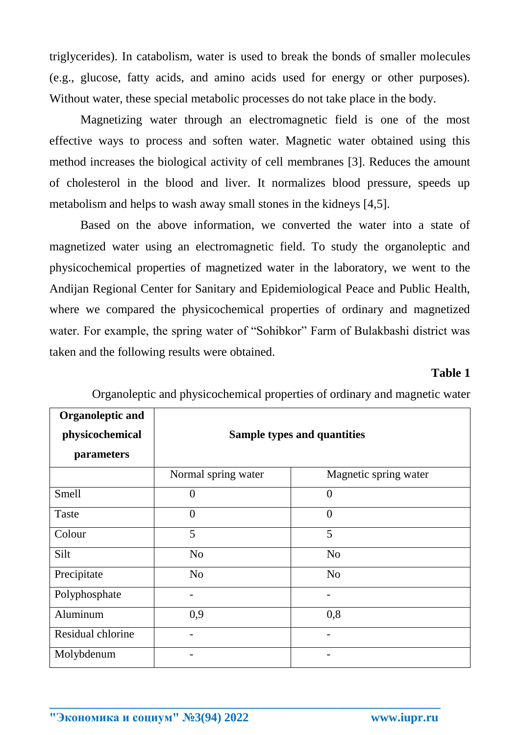triglycerides). In catabolism, water is used to break the bonds of smaller molecules (e.g., glucose, fatty acids, and amino acids used for energy or other purposes). Without water, these special metabolic processes do not take place in the body.

Magnetizing water through an electromagnetic field is one of the most effective ways to process and soften water. Magnetic water obtained using this method increases the biological activity of cell membranes [3]. Reduces the amount of cholesterol in the blood and liver. It normalizes blood pressure, speeds up metabolism and helps to wash away small stones in the kidneys [4,5].

Based on the above information, we converted the water into a state of magnetized water using an electromagnetic field. To study the organoleptic and physicochemical properties of magnetized water in the laboratory, we went to the Andijan Regional Center for Sanitary and Epidemiological Peace and Public Health, where we compared the physicochemical properties of ordinary and magnetized water. For example, the spring water of "Sohibkor" Farm of Bulakbashi district was taken and the following results were obtained.

## **Table 1**

| <b>Organoleptic and</b> |                             |                       |
|-------------------------|-----------------------------|-----------------------|
| physicochemical         | Sample types and quantities |                       |
| parameters              |                             |                       |
|                         | Normal spring water         | Magnetic spring water |
| Smell                   | $\overline{0}$              | $\overline{0}$        |
| Taste                   | $\overline{0}$              | $\overline{0}$        |
| Colour                  | 5                           | 5                     |
| Silt                    | N <sub>o</sub>              | N <sub>o</sub>        |
| Precipitate             | N <sub>o</sub>              | N <sub>o</sub>        |
| Polyphosphate           |                             | -                     |
| Aluminum                | 0,9                         | 0,8                   |
| Residual chlorine       |                             |                       |
| Molybdenum              |                             |                       |

**\_\_\_\_\_\_\_\_\_\_\_\_\_\_\_\_\_\_\_\_\_\_\_\_\_\_\_\_\_\_\_\_\_\_\_\_\_\_\_\_\_\_\_\_\_\_\_\_\_\_\_\_\_\_\_\_\_\_\_\_\_\_\_\_**

Organoleptic and physicochemical properties of ordinary and magnetic water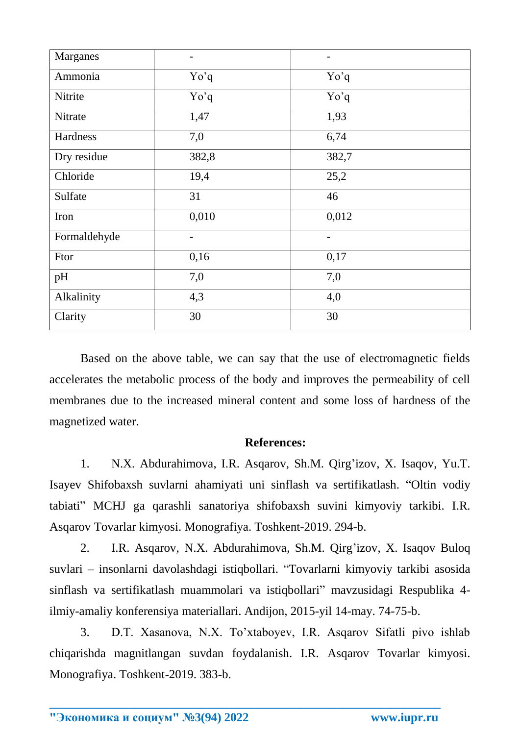| Marganes     | $\overline{\phantom{0}}$ | $\overline{\phantom{a}}$ |
|--------------|--------------------------|--------------------------|
| Ammonia      | Yo'q                     | Yo'q                     |
| Nitrite      | Yo'q                     | Yo'q                     |
| Nitrate      | 1,47                     | 1,93                     |
| Hardness     | 7,0                      | 6,74                     |
| Dry residue  | 382,8                    | 382,7                    |
| Chloride     | 19,4                     | 25,2                     |
| Sulfate      | 31                       | 46                       |
| Iron         | 0,010                    | 0,012                    |
| Formaldehyde | $\qquad \qquad -$        | $\overline{\phantom{m}}$ |
| Ftor         | 0,16                     | 0,17                     |
| pH           | 7,0                      | 7,0                      |
| Alkalinity   | 4,3                      | 4,0                      |
| Clarity      | 30                       | 30                       |

Based on the above table, we can say that the use of electromagnetic fields accelerates the metabolic process of the body and improves the permeability of cell membranes due to the increased mineral content and some loss of hardness of the magnetized water.

## **References:**

1. N.X. Abdurahimova, I.R. Asqarov, Sh.M. Qirg'izov, X. Isaqov, Yu.T. Isayev Shifobaxsh suvlarni ahamiyati uni sinflash va sertifikatlash. "Oltin vodiy tabiati" MCHJ ga qarashli sanatoriya shifobaxsh suvini kimyoviy tarkibi. I.R. Asqarov Tovarlar kimyosi. Monografiya. Toshkent-2019. 294-b.

2. I.R. Asqarov, N.X. Abdurahimova, Sh.M. Qirg'izov, X. Isaqov Buloq suvlari – insonlarni davolashdagi istiqbollari. "Tovarlarni kimyoviy tarkibi asosida sinflash va sertifikatlash muammolari va istiqbollari" mavzusidagi Respublika 4 ilmiy-amaliy konferensiya materiallari. Andijon, 2015-yil 14-may. 74-75-b.

3. D.T. Xasanova, N.X. To'xtaboyev, I.R. Asqarov Sifatli pivo ishlab chiqarishda magnitlangan suvdan foydalanish. I.R. Asqarov Tovarlar kimyosi. Monografiya. Toshkent-2019. 383-b.

**\_\_\_\_\_\_\_\_\_\_\_\_\_\_\_\_\_\_\_\_\_\_\_\_\_\_\_\_\_\_\_\_\_\_\_\_\_\_\_\_\_\_\_\_\_\_\_\_\_\_\_\_\_\_\_\_\_\_\_\_\_\_\_\_**